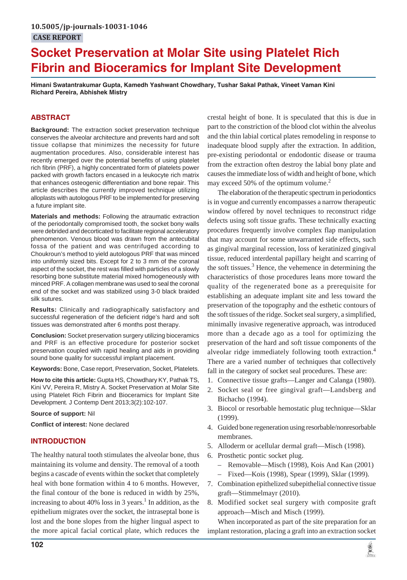# **Socket Preservation at Molar Site using Platelet Rich Fibrin and Bioceramics for Implant Site Development**

**Himani Swatantrakumar Gupta, Kamedh Yashwant Chowdhary, Tushar Sakal Pathak, Vineet Vaman Kini Richard Pereira, Abhishek Mistry**

# **ABSTRACT**

**Background:** The extraction socket preservation technique conserves the alveolar architecture and prevents hard and soft tissue collapse that minimizes the necessity for future augmentation procedures. Also, considerable interest has recently emerged over the potential benefits of using platelet rich fibrin (PRF), a highly concentrated form of platelets power packed with growth factors encased in a leukocyte rich matrix that enhances osteogenic differentiation and bone repair. This article describes the currently improved technique utilizing alloplasts with autologous PRF to be implemented for preserving a future implant site.

**Materials and methods:** Following the atraumatic extraction of the periodontally compromised tooth, the socket bony walls were debrided and decorticated to facilitate regional acceleratory phenomenon. Venous blood was drawn from the antecubital fossa of the patient and was centrifuged according to Choukroun's method to yield autologous PRF that was minced into uniformly sized bits. Except for 2 to 3 mm of the coronal aspect of the socket, the rest was filled with particles of a slowly resorbing bone substitute material mixed homogeneously with minced PRF. A collagen membrane was used to seal the coronal end of the socket and was stabilized using 3-0 black braided silk sutures.

**Results:** Clinically and radiographically satisfactory and successful regeneration of the deficient ridge's hard and soft tissues was demonstrated after 6 months post therapy.

**Conclusion:** Socket preservation surgery utilizing bioceramics and PRF is an effective procedure for posterior socket preservation coupled with rapid healing and aids in providing sound bone quality for successful implant placement.

**Keywords:** Bone, Case report, Preservation, Socket, Platelets.

**How to cite this article:** Gupta HS, Chowdhary KY, Pathak TS, Kini VV, Pereira R, Mistry A. Socket Preservation at Molar Site using Platelet Rich Fibrin and Bioceramics for Implant Site Development. J Contemp Dent 2013;3(2):102-107.

#### **Source of support:** Nil

**Conflict of interest:** None declared

## **INTRODUCTION**

The healthy natural tooth stimulates the alveolar bone, thus maintaining its volume and density. The removal of a tooth begins a cascade of events within the socket that completely heal with bone formation within 4 to 6 months. However, the final contour of the bone is reduced in width by 25%, increasing to about 40% loss in 3 years.<sup>1</sup> In addition, as the epithelium migrates over the socket, the intraseptal bone is lost and the bone slopes from the higher lingual aspect to the more apical facial cortical plate, which reduces the crestal height of bone. It is speculated that this is due in part to the constriction of the blood clot within the alveolus and the thin labial cortical plates remodeling in response to inadequate blood supply after the extraction. In addition, pre-existing periodontal or endodontic disease or trauma from the extraction often destroy the labial bony plate and causes the immediate loss of width and height of bone, which may exceed 50% of the optimum volume.<sup>2</sup>

The elaboration of the therapeutic spectrum in periodontics is in vogue and currently encompasses a narrow therapeutic window offered by novel techniques to reconstruct ridge defects using soft tissue grafts. These technically exacting procedures frequently involve complex flap manipulation that may account for some unwarranted side effects, such as gingival marginal recession, loss of keratinized gingival tissue, reduced interdental papillary height and scarring of the soft tissues.<sup>3</sup> Hence, the vehemence in determining the characteristics of those procedures leans more toward the quality of the regenerated bone as a prerequisite for establishing an adequate implant site and less toward the preservation of the topography and the esthetic contours of the soft tissues of the ridge. Socket seal surgery, a simplified, minimally invasive regenerative approach, was introduced more than a decade ago as a tool for optimizing the preservation of the hard and soft tissue components of the alveolar ridge immediately following tooth extraction.<sup>4</sup> There are a varied number of techniques that collectively fall in the category of socket seal procedures. These are:

- 1. Connective tissue grafts—Langer and Calanga (1980).
- 2. Socket seal or free gingival graft—Landsberg and Bichacho (1994).
- 3. Biocol or resorbable hemostatic plug technique—Sklar (1999).
- 4. Guided bone regeneration using resorbable/nonresorbable membranes.
- 5. Alloderm or acellular dermal graft—Misch (1998).
- 6. Prosthetic pontic socket plug.
	- Removable—Misch (1998), Kois And Kan (2001)
	- Fixed—Kois (1998), Spear (1999), Sklar (1999).
- 7. Combination epithelized subepithelial connective tissue graft—Stimmelmayr (2010).
- 8. Modified socket seal surgery with composite graft approach—Misch and Misch (1999).

When incorporated as part of the site preparation for an implant restoration, placing a graft into an extraction socket

黨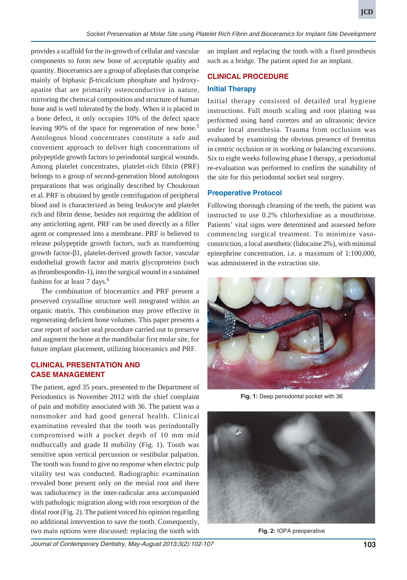quantity. Bioceramics are a group of alloplasts that comprise mainly of biphasic β-tricalcium phosphate and hydroxyapatite that are primarily osteoconductive in nature, mirroring the chemical composition and structure of human bone and is well tolerated by the body. When it is placed in a bone defect, it only occupies 10% of the defect space leaving 90% of the space for regeneration of new bone.<sup>5</sup> Autologous blood concentrates constitute a safe and convenient approach to deliver high concentrations of polypeptide growth factors to periodontal surgical wounds. Among platelet concentrates, platelet-rich fibrin (PRF) belongs to a group of second-generation blood autologous preparations that was originally described by Choukroun et al. PRF is obtained by gentle centrifugation of peripheral blood and is characterized as being leukocyte and platelet rich and fibrin dense, besides not requiring the addition of any anticlotting agent. PRF can be used directly as a filler agent or compressed into a membrane. PRF is believed to release polypeptide growth factors, such as transforming growth factor-β1, platelet-derived growth factor, vascular endothelial growth factor and matrix glycoproteins (such as thrombospondin-1), into the surgical wound in a sustained fashion for at least 7 days.<sup>6</sup>

The combination of bioceramics and PRF present a preserved crystalline structure well integrated within an organic matrix. This combination may prove effective in regenerating deficient bone volumes. This paper presents a case report of socket seal procedure carried out to preserve and augment the bone at the mandibular first molar site, for future implant placement, utilizing bioceramics and PRF.

# **CLINICAL PRESENTATION AND CASE MANAGEMENT**

The patient, aged 35 years, presented to the Department of Periodontics in November 2012 with the chief complaint of pain and mobility associated with 36. The patient was a nonsmoker and had good general health. Clinical examination revealed that the tooth was periodontally compromised with a pocket depth of 10 mm mid midbuccally and grade II mobility (Fig. 1). Tooth was sensitive upon vertical percussion or vestibular palpation. The tooth was found to give no response when electric pulp vitality test was conducted. Radiographic examination revealed bone present only on the mesial root and there was radiolucency in the inter-radicular area accompanied with pathologic migration along with root resorption of the distal root (Fig. 2). The patient voiced his opinion regarding no additional intervention to save the tooth. Consequently, two main options were discussed: replacing the tooth with

an implant and replacing the tooth with a fixed prosthesis such as a bridge. The patient opted for an implant.

# **CLINICAL PROCEDURE**

# **Initial Therapy**

*Socket Preservation at Molar Site using Platelet Rich Fibrin and Bioceramics for Implant Site Development*

Initial therapy consisted of detailed oral hygiene instructions. Full mouth scaling and root planing was performed using hand curettes and an ultrasonic device under local anesthesia. Trauma from occlusion was evaluated by examining the obvious presence of fremitus in centric occlusion or in working or balancing excursions. Six to eight weeks following phase I therapy, a periodontal re-evaluation was performed to confirm the suitability of the site for this periodontal socket seal surgery.

# **Preoperative Protocol**

Following thorough cleansing of the teeth, the patient was instructed to use 0.2% chlorhexidine as a mouthrinse. Patients' vital signs were determined and assessed before commencing surgical treatment. To minimize vasoconstriction, a local anesthetic (lidocaine 2%), with minimal epinephrine concentration, i.e. a maximum of 1:100,000, was administered in the extraction site.



**Fig. 1:** Deep periodontal pocket with 36



**Fig. 2:** IOPA preoperative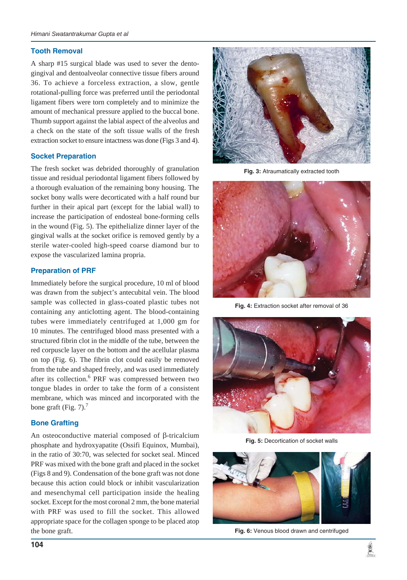## **Tooth Removal**

A sharp #15 surgical blade was used to sever the dentogingival and dentoalveolar connective tissue fibers around 36. To achieve a forceless extraction, a slow, gentle rotational-pulling force was preferred until the periodontal ligament fibers were torn completely and to minimize the amount of mechanical pressure applied to the buccal bone. Thumb support against the labial aspect of the alveolus and a check on the state of the soft tissue walls of the fresh extraction socket to ensure intactness was done (Figs 3 and 4).

#### **Socket Preparation**

The fresh socket was debrided thoroughly of granulation tissue and residual periodontal ligament fibers followed by a thorough evaluation of the remaining bony housing. The socket bony walls were decorticated with a half round bur further in their apical part (except for the labial wall) to increase the participation of endosteal bone-forming cells in the wound (Fig. 5). The epithelialize dinner layer of the gingival walls at the socket orifice is removed gently by a sterile water-cooled high-speed coarse diamond bur to expose the vascularized lamina propria.

## **Preparation of PRF**

Immediately before the surgical procedure, 10 ml of blood was drawn from the subject's antecubital vein. The blood sample was collected in glass-coated plastic tubes not containing any anticlotting agent. The blood-containing tubes were immediately centrifuged at 1,000 gm for 10 minutes. The centrifuged blood mass presented with a structured fibrin clot in the middle of the tube, between the red corpuscle layer on the bottom and the acellular plasma on top (Fig. 6). The fibrin clot could easily be removed from the tube and shaped freely, and was used immediately after its collection.<sup>6</sup> PRF was compressed between two tongue blades in order to take the form of a consistent membrane, which was minced and incorporated with the bone graft (Fig.  $7$ ).<sup>7</sup>

## **Bone Grafting**

An osteoconductive material composed of β-tricalcium phosphate and hydroxyapatite (Ossifi Equinox, Mumbai), in the ratio of 30:70, was selected for socket seal. Minced PRF was mixed with the bone graft and placed in the socket (Figs 8 and 9). Condensation of the bone graft was not done because this action could block or inhibit vascularization and mesenchymal cell participation inside the healing socket. Except for the most coronal 2 mm, the bone material with PRF was used to fill the socket. This allowed appropriate space for the collagen sponge to be placed atop the bone graft.



**Fig. 3:** Atraumatically extracted tooth



**Fig. 4:** Extraction socket after removal of 36



**Fig. 5:** Decortication of socket walls



**Fig. 6:** Venous blood drawn and centrifuged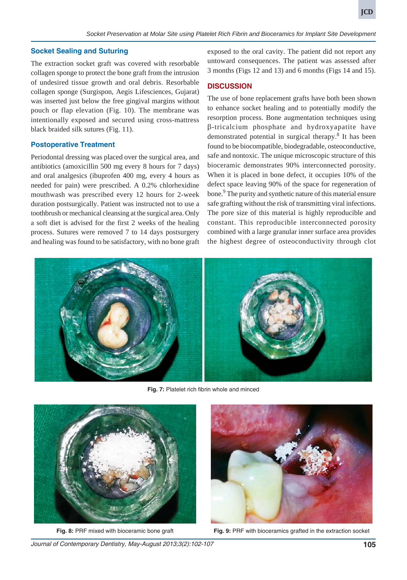#### **Socket Sealing and Suturing**

The extraction socket graft was covered with resorbable collagen sponge to protect the bone graft from the intrusion of undesired tissue growth and oral debris. Resorbable collagen sponge (Surgispon, Aegis Lifesciences, Gujarat) was inserted just below the free gingival margins without pouch or flap elevation (Fig. 10). The membrane was intentionally exposed and secured using cross-mattress black braided silk sutures (Fig. 11).

#### **Postoperative Treatment**

Periodontal dressing was placed over the surgical area, and antibiotics (amoxicillin 500 mg every 8 hours for 7 days) and oral analgesics (ibuprofen 400 mg, every 4 hours as needed for pain) were prescribed. A 0.2% chlorhexidine mouthwash was prescribed every 12 hours for 2-week duration postsurgically. Patient was instructed not to use a toothbrush or mechanical cleansing at the surgical area. Only a soft diet is advised for the first 2 weeks of the healing process. Sutures were removed 7 to 14 days postsurgery and healing was found to be satisfactory, with no bone graft exposed to the oral cavity. The patient did not report any untoward consequences. The patient was assessed after 3 months (Figs 12 and 13) and 6 months (Figs 14 and 15).

#### **DISCUSSION**

The use of bone replacement grafts have both been shown to enhance socket healing and to potentially modify the resorption process. Bone augmentation techniques using β-tricalcium phosphate and hydroxyapatite have demonstrated potential in surgical therapy.<sup>8</sup> It has been found to be biocompatible, biodegradable, osteoconductive, safe and nontoxic. The unique microscopic structure of this bioceramic demonstrates 90% interconnected porosity. When it is placed in bone defect, it occupies 10% of the defect space leaving 90% of the space for regeneration of bone.<sup>9</sup> The purity and synthetic nature of this material ensure safe grafting without the risk of transmitting viral infections. The pore size of this material is highly reproducible and constant. This reproducible interconnected porosity combined with a large granular inner surface area provides the highest degree of osteoconductivity through clot



**Fig. 7:** Platelet rich fibrin whole and minced





**Fig. 8:** PRF mixed with bioceramic bone graft **Fig. 9:** PRF with bioceramics grafted in the extraction socket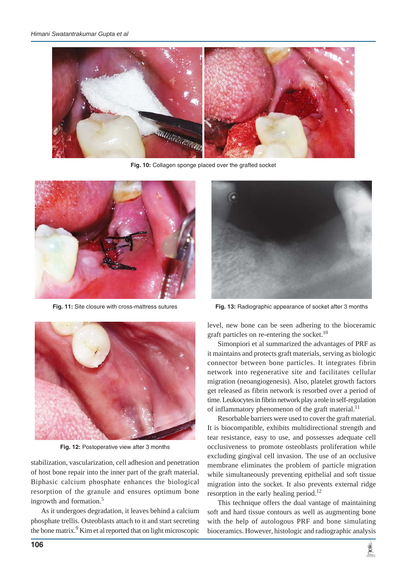

**Fig. 10:** Collagen sponge placed over the grafted socket





**Fig. 11:** Site closure with cross-mattress sutures **Fig. 13:** Radiographic appearance of socket after 3 months



Fig. 12: Postoperative view after 3 months

stabilization, vascularization, cell adhesion and penetration of host bone repair into the inner part of the graft material. Biphasic calcium phosphate enhances the biological resorption of the granule and ensures optimum bone ingrowth and formation.<sup>5</sup>

As it undergoes degradation, it leaves behind a calcium phosphate trellis. Osteoblasts attach to it and start secreting the bone matrix.<sup>9</sup> Kim et al reported that on light microscopic

level, new bone can be seen adhering to the bioceramic graft particles on re-entering the socket. $10$ 

Simonpiori et al summarized the advantages of PRF as it maintains and protects graft materials, serving as biologic connector between bone particles. It integrates fibrin network into regenerative site and facilitates cellular migration (neoangiogenesis). Also, platelet growth factors get released as fibrin network is resorbed over a period of time. Leukocytes in fibrin network play a role in self-regulation of inflammatory phenomenon of the graft material.<sup>11</sup>

Resorbable barriers were used to cover the graft material. It is biocompatible, exhibits multidirectional strength and tear resistance, easy to use, and possesses adequate cell occlusiveness to promote osteoblasts proliferation while excluding gingival cell invasion. The use of an occlusive membrane eliminates the problem of particle migration while simultaneously preventing epithelial and soft tissue migration into the socket. It also prevents external ridge resorption in the early healing period.<sup>12</sup>

This technique offers the dual vantage of maintaining soft and hard tissue contours as well as augmenting bone with the help of autologous PRF and bone simulating bioceramics. However, histologic and radiographic analysis